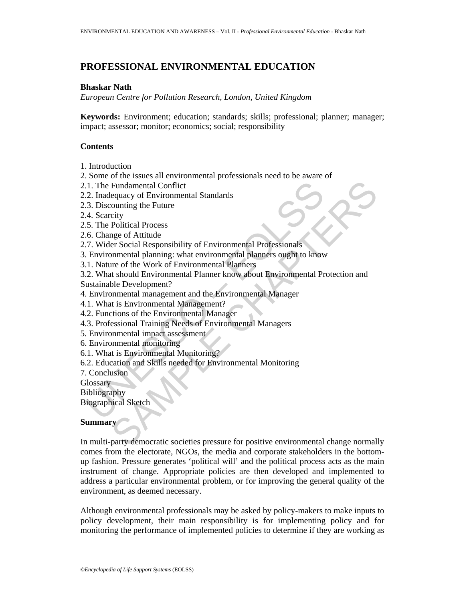# **PROFESSIONAL ENVIRONMENTAL EDUCATION**

#### **Bhaskar Nath**

*European Centre for Pollution Research, London, United Kingdom* 

**Keywords:** Environment; education; standards; skills; professional; planner; manager; impact; assessor; monitor; economics; social; responsibility

## **Contents**

- 1. Introduction
- 2. Some of the issues all environmental professionals need to be aware of
- 2.1. The Fundamental Conflict
- 2.2. Inadequacy of Environmental Standards
- 2.3. Discounting the Future
- 2.4. Scarcity
- 2.5. The Political Process
- 2.6. Change of Attitude
- 2.7. Wider Social Responsibility of Environmental Professionals
- 3. Environmental planning: what environmental planners ought to know
- 3.1. Nature of the Work of Environmental Planners
- 1. The Fundamental Conflict<br>
2. Inadequacy of Environmental Standards<br>
3. Discounting the Future<br>
4. Scarcity<br>
5. The Political Process<br>
6. Change of Attitude<br>
7. Wider Social Responsibility of Environmental Planners ought Fundamental Conflict<br>
equacy of Environmental Standards<br>
counting the Future<br>
city<br>
control of Mittale<br>
ersect Attitude<br>
ersect Architects<br>
ersect Cocial Responsibility of Environmental Professionals<br>
inmental planning: wh 3.2. What should Environmental Planner know about Environmental Protection and Sustainable Development?
- 4. Environmental management and the Environmental Manager
- 4.1. What is Environmental Management?
- 4.2. Functions of the Environmental Manager
- 4.3. Professional Training Needs of Environmental Managers
- 5. Environmental impact assessment
- 6. Environmental monitoring
- 6.1. What is Environmental Monitoring?
- 6.2. Education and Skills needed for Environmental Monitoring
- 7. Conclusion

**Glossary** 

- Bibliography
- Biographical Sketch

#### **Summary**

In multi-party democratic societies pressure for positive environmental change normally comes from the electorate, NGOs, the media and corporate stakeholders in the bottomup fashion. Pressure generates 'political will' and the political process acts as the main instrument of change. Appropriate policies are then developed and implemented to address a particular environmental problem, or for improving the general quality of the environment, as deemed necessary.

Although environmental professionals may be asked by policy-makers to make inputs to policy development, their main responsibility is for implementing policy and for monitoring the performance of implemented policies to determine if they are working as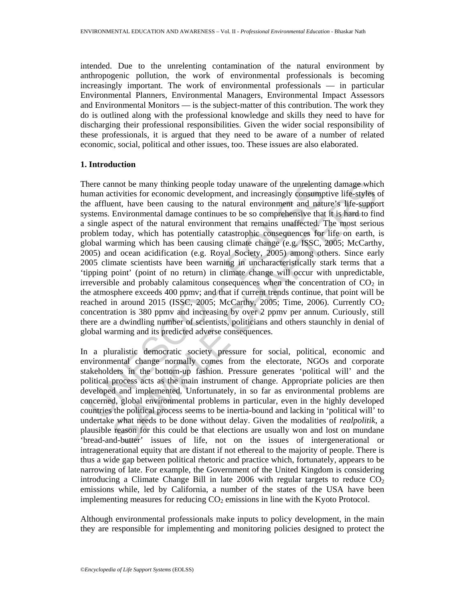intended. Due to the unrelenting contamination of the natural environment by anthropogenic pollution, the work of environmental professionals is becoming increasingly important. The work of environmental professionals — in particular Environmental Planners, Environmental Managers, Environmental Impact Assessors and Environmental Monitors — is the subject-matter of this contribution. The work they do is outlined along with the professional knowledge and skills they need to have for discharging their professional responsibilities. Given the wider social responsibility of these professionals, it is argued that they need to be aware of a number of related economic, social, political and other issues, too. These issues are also elaborated.

## **1. Introduction**

here cannot be many thinking people today unaware of the unrelentire and activities for economic development, and increasingly consumple a affluent, have been causing to the natural environment and nature affluent, have be nnot be many thinking people today unaware of the unrelenting damage whice<br>ity tritics for economic development, and increasingly consumptive life-suppo<br>Environmental damage continues to be so comprehensive that it is hard There cannot be many thinking people today unaware of the unrelenting damage which human activities for economic development, and increasingly consumptive life-styles of the affluent, have been causing to the natural environment and nature's life-support systems. Environmental damage continues to be so comprehensive that it is hard to find a single aspect of the natural environment that remains unaffected. The most serious problem today, which has potentially catastrophic consequences for life on earth, is global warming which has been causing climate change (e.g. ISSC, 2005; McCarthy, 2005) and ocean acidification (e.g. Royal Society, 2005) among others. Since early 2005 climate scientists have been warning in uncharacteristically stark terms that a 'tipping point' (point of no return) in climate change will occur with unpredictable, irreversible and probably calamitous consequences when the concentration of  $CO<sub>2</sub>$  in the atmosphere exceeds 400 ppmv; and that if current trends continue, that point will be reached in around 2015 (ISSC, 2005; McCarthy, 2005; Time, 2006). Currently  $CO<sub>2</sub>$ concentration is 380 ppmv and increasing by over 2 ppmv per annum. Curiously, still there are a dwindling number of scientists, politicians and others staunchly in denial of global warming and its predicted adverse consequences.

In a pluralistic democratic society pressure for social, political, economic and environmental change normally comes from the electorate, NGOs and corporate stakeholders in the bottom-up fashion. Pressure generates 'political will' and the political process acts as the main instrument of change. Appropriate policies are then developed and implemented. Unfortunately, in so far as environmental problems are concerned, global environmental problems in particular, even in the highly developed countries the political process seems to be inertia-bound and lacking in 'political will' to undertake what needs to be done without delay. Given the modalities of *realpolitik*, a plausible reason for this could be that elections are usually won and lost on mundane 'bread-and-butter' issues of life, not on the issues of intergenerational or intragenerational equity that are distant if not ethereal to the majority of people. There is thus a wide gap between political rhetoric and practice which, fortunately, appears to be narrowing of late. For example, the Government of the United Kingdom is considering introducing a Climate Change Bill in late 2006 with regular targets to reduce  $CO<sub>2</sub>$ emissions while, led by California, a number of the states of the USA have been implementing measures for reducing  $CO<sub>2</sub>$  emissions in line with the Kyoto Protocol.

Although environmental professionals make inputs to policy development, in the main they are responsible for implementing and monitoring policies designed to protect the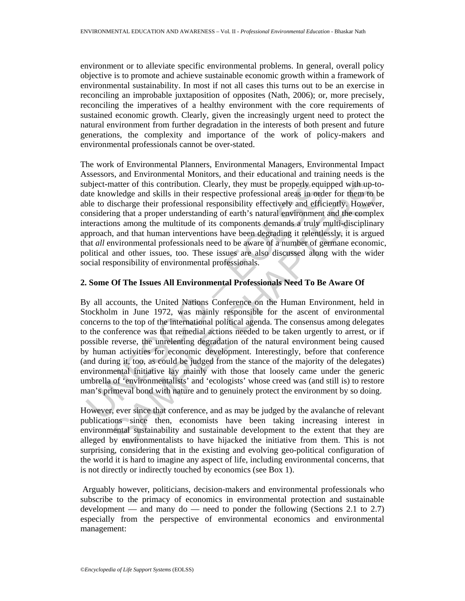environment or to alleviate specific environmental problems. In general, overall policy objective is to promote and achieve sustainable economic growth within a framework of environmental sustainability. In most if not all cases this turns out to be an exercise in reconciling an improbable juxtaposition of opposites (Nath, 2006); or, more precisely, reconciling the imperatives of a healthy environment with the core requirements of sustained economic growth. Clearly, given the increasingly urgent need to protect the natural environment from further degradation in the interests of both present and future generations, the complexity and importance of the work of policy-makers and environmental professionals cannot be over-stated.

The work of Environmental Planners, Environmental Managers, Environmental Impact Assessors, and Environmental Monitors, and their educational and training needs is the subject-matter of this contribution. Clearly, they must be properly equipped with up-todate knowledge and skills in their respective professional areas in order for them to be able to discharge their professional responsibility effectively and efficiently. However, considering that a proper understanding of earth's natural environment and the complex interactions among the multitude of its components demands a truly multi-disciplinary approach, and that human interventions have been degrading it relentlessly, it is argued that *all* environmental professionals need to be aware of a number of germane economic, political and other issues, too. These issues are also discussed along with the wider social responsibility of environmental professionals.

### **2. Some Of The Issues All Environmental Professionals Need To Be Aware Of**

ubject-matter of this contribution. Clearly, they must be properly equided the knowledge and skills in their respective professional areas in order to discharge their professional responsibility effectively and efficional matter of this contribution. Clearly, they must be properly equipped with up-twledge and skills in their respective professional areas in order for them to be<br>ischarge their professional responsibility effectively and effi By all accounts, the United Nations Conference on the Human Environment, held in Stockholm in June 1972, was mainly responsible for the ascent of environmental concerns to the top of the international political agenda. The consensus among delegates to the conference was that remedial actions needed to be taken urgently to arrest, or if possible reverse, the unrelenting degradation of the natural environment being caused by human activities for economic development. Interestingly, before that conference (and during it, too, as could be judged from the stance of the majority of the delegates) environmental initiative lay mainly with those that loosely came under the generic umbrella of 'environmentalists' and 'ecologists' whose creed was (and still is) to restore man's primeval bond with nature and to genuinely protect the environment by so doing.

However, ever since that conference, and as may be judged by the avalanche of relevant publications since then, economists have been taking increasing interest in environmental sustainability and sustainable development to the extent that they are alleged by environmentalists to have hijacked the initiative from them. This is not surprising, considering that in the existing and evolving geo-political configuration of the world it is hard to imagine any aspect of life, including environmental concerns, that is not directly or indirectly touched by economics (see Box 1).

 Arguably however, politicians, decision-makers and environmental professionals who subscribe to the primacy of economics in environmental protection and sustainable development — and many do — need to ponder the following (Sections 2.1 to 2.7) especially from the perspective of environmental economics and environmental management: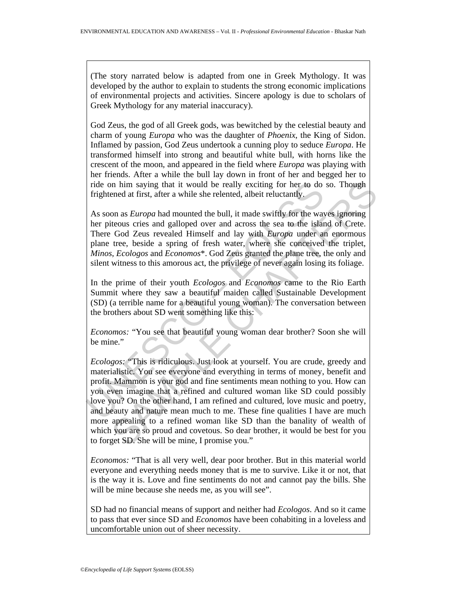(The story narrated below is adapted from one in Greek Mythology. It was developed by the author to explain to students the strong economic implications of environmental projects and activities. Sincere apology is due to scholars of Greek Mythology for any material inaccuracy).

God Zeus, the god of all Greek gods, was bewitched by the celestial beauty and charm of young *Europa* who was the daughter of *Phoenix*, the King of Sidon. Inflamed by passion, God Zeus undertook a cunning ploy to seduce *Europa*. He transformed himself into strong and beautiful white bull, with horns like the crescent of the moon, and appeared in the field where *Europa* was playing with her friends. After a while the bull lay down in front of her and begged her to ride on him saying that it would be really exciting for her to do so. Though frightened at first, after a while she relented, albeit reluctantly.

As soon as *Europa* had mounted the bull, it made swiftly for the waves ignoring her piteous cries and galloped over and across the sea to the island of Crete. There God Zeus revealed Himself and lay with *Europa* under an enormous plane tree, beside a spring of fresh water, where she conceived the triplet, *Minos*, *Ecologos* and *Economos*\*. God Zeus granted the plane tree, the only and silent witness to this amorous act, the privilege of never again losing its foliage.

In the prime of their youth *Ecologos* and *Economos* came to the Rio Earth Summit where they saw a beautiful maiden called Sustainable Development (SD) (a terrible name for a beautiful young woman). The conversation between the brothers about SD went something like this:

*Economos:* "You see that beautiful young woman dear brother? Soon she will be mine."

ride on him saying that it would be really exciting for her to do<br>frightened at first, after a while she relented, albeit reluctantly.<br>As soon as *Europa* had mounted the bull, it made swiftly for the way<br>her piteous crie In him saying that it would be really exciting for her to do so. Though<br>need at first, after a while she relented, albeit reluctantly.<br>
Con as *Europa* had mounted the bull, it made swiftly for the waves ignoring<br>
Cons as *Ecologos:* "This is ridiculous. Just look at yourself. You are crude, greedy and materialistic. You see everyone and everything in terms of money, benefit and profit. Mammon is your god and fine sentiments mean nothing to you. How can you even imagine that a refined and cultured woman like SD could possibly love you? On the other hand, I am refined and cultured, love music and poetry, and beauty and nature mean much to me. These fine qualities I have are much more appealing to a refined woman like SD than the banality of wealth of which you are so proud and covetous. So dear brother, it would be best for you to forget SD. She will be mine, I promise you."

*Economos:* "That is all very well, dear poor brother. But in this material world everyone and everything needs money that is me to survive. Like it or not, that is the way it is. Love and fine sentiments do not and cannot pay the bills. She will be mine because she needs me, as you will see".

SD had no financial means of support and neither had *Ecologos*. And so it came to pass that ever since SD and *Economos* have been cohabiting in a loveless and uncomfortable union out of sheer necessity.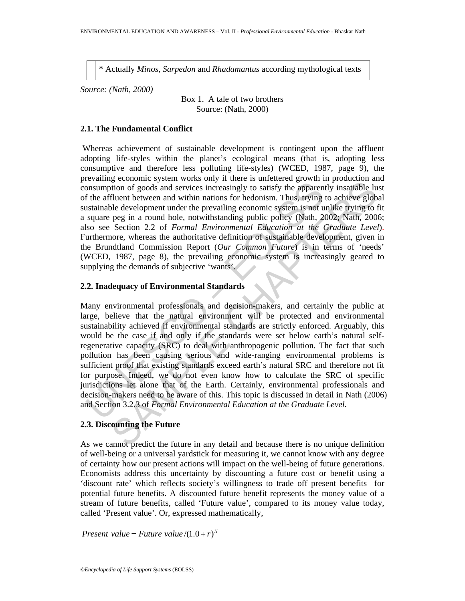\* Actually *Minos, Sarpedon* and *Rhadamantus* according mythological texts

*Source: (Nath, 2000)* 

Box 1. A tale of two brothers Source: (Nath, 2000)

#### **2.1. The Fundamental Conflict**

 Whereas achievement of sustainable development is contingent upon the affluent adopting life-styles within the planet's ecological means (that is, adopting less consumptive and therefore less polluting life-styles) (WCED, 1987, page 9), the prevailing economic system works only if there is unfettered growth in production and consumption of goods and services increasingly to satisfy the apparently insatiable lust of the affluent between and within nations for hedonism. Thus, trying to achieve global sustainable development under the prevailing economic system is not unlike trying to fit a square peg in a round hole, notwithstanding public policy (Nath, 2002; Nath, 2006; also see Section 2.2 of *Formal Environmental Education at the Graduate Level*). Furthermore, whereas the authoritative definition of sustainable development, given in the Brundtland Commission Report (*Our Common Future*) is in terms of 'needs' (WCED, 1987, page 8), the prevailing economic system is increasingly geared to supplying the demands of subjective 'wants'.

### **2.2. Inadequacy of Environmental Standards**

Communion of goods and services increasingly to satisfy the apparent<br>onsumption of goods and services increasingly to satisfy the apparent<br>f the affluent between and within nations for hedonism. Thus, trying<br>ustainable de gecommental standards the providing the method in the same of such an information on f goods and services increasingly to satisfy the apparently instatiable latter the providing conomic system is not uniter trying to achie Many environmental professionals and decision-makers, and certainly the public at large, believe that the natural environment will be protected and environmental sustainability achieved if environmental standards are strictly enforced. Arguably, this would be the case if and only if the standards were set below earth's natural selfregenerative capacity (SRC) to deal with anthropogenic pollution. The fact that such pollution has been causing serious and wide-ranging environmental problems is sufficient proof that existing standards exceed earth's natural SRC and therefore not fit for purpose. Indeed, we do not even know how to calculate the SRC of specific jurisdictions let alone that of the Earth. Certainly, environmental professionals and decision-makers need to be aware of this. This topic is discussed in detail in Nath (2006) and Section 3.2.3 of *Formal Environmental Education at the Graduate Level*.

# **2.3. Discounting the Future**

As we cannot predict the future in any detail and because there is no unique definition of well-being or a universal yardstick for measuring it, we cannot know with any degree of certainty how our present actions will impact on the well-being of future generations. Economists address this uncertainty by discounting a future cost or benefit using a 'discount rate' which reflects society's willingness to trade off present benefits for potential future benefits. A discounted future benefit represents the money value of a stream of future benefits, called 'Future value', compared to its money value today, called 'Present value'. Or, expressed mathematically,

*Present value = Future value*  $/(1.0 + r)^N$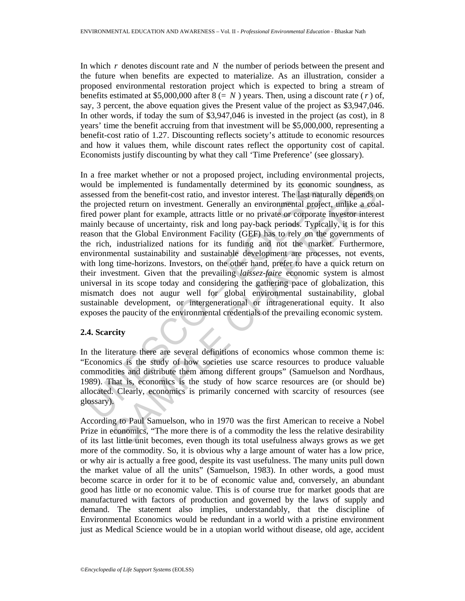In which *r* denotes discount rate and *N* the number of periods between the present and the future when benefits are expected to materialize. As an illustration, consider a proposed environmental restoration project which is expected to bring a stream of benefits estimated at \$5,000,000 after  $8 (= N)$  years. Then, using a discount rate (*r*) of, say, 3 percent, the above equation gives the Present value of the project as \$3,947,046. In other words, if today the sum of \$3,947,046 is invested in the project (as cost), in 8 years' time the benefit accruing from that investment will be \$5,000,000, representing a benefit-cost ratio of 1.27. Discounting reflects society's attitude to economic resources and how it values them, while discount rates reflect the opportunity cost of capital. Economists justify discounting by what they call 'Time Preference' (see glossary).

from the implemented is fundamentally determined by its econom<br>sessesd from the benefit-cost ratio, and investor interest. The last ratue<br>reprojected return on investment. Generally an environmental project<br>read power plan is inplemented is fundamentally determined by its economic soundness, at from the benefit-cost ratio, and investor interest. The last maturaly depends over clear that maturity depends over plant for example, attracts littl In a free market whether or not a proposed project, including environmental projects, would be implemented is fundamentally determined by its economic soundness, as assessed from the benefit-cost ratio, and investor interest. The last naturally depends on the projected return on investment. Generally an environmental project, unlike a coalfired power plant for example, attracts little or no private or corporate investor interest mainly because of uncertainty, risk and long pay-back periods. Typically, it is for this reason that the Global Environment Facility (GEF) has to rely on the governments of the rich, industrialized nations for its funding and not the market. Furthermore, environmental sustainability and sustainable development are processes, not events, with long time-horizons. Investors, on the other hand, prefer to have a quick return on their investment. Given that the prevailing *laissez-faire* economic system is almost universal in its scope today and considering the gathering pace of globalization, this mismatch does not augur well for global environmental sustainability, global sustainable development, or intergenerational or intragenerational equity. It also exposes the paucity of the environmental credentials of the prevailing economic system.

## **2.4. Scarcity**

In the literature there are several definitions of economics whose common theme is: "Economics is the study of how societies use scarce resources to produce valuable commodities and distribute them among different groups" (Samuelson and Nordhaus, 1989). That is, economics is the study of how scarce resources are (or should be) allocated. Clearly, economics is primarily concerned with scarcity of resources (see glossary).

According to Paul Samuelson, who in 1970 was the first American to receive a Nobel Prize in economics, "The more there is of a commodity the less the relative desirability of its last little unit becomes, even though its total usefulness always grows as we get more of the commodity. So, it is obvious why a large amount of water has a low price, or why air is actually a free good, despite its vast usefulness. The many units pull down the market value of all the units" (Samuelson, 1983). In other words, a good must become scarce in order for it to be of economic value and, conversely, an abundant good has little or no economic value. This is of course true for market goods that are manufactured with factors of production and governed by the laws of supply and demand. The statement also implies, understandably, that the discipline of Environmental Economics would be redundant in a world with a pristine environment just as Medical Science would be in a utopian world without disease, old age, accident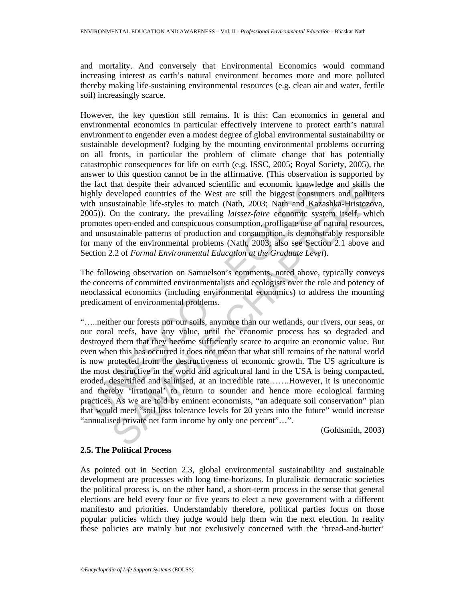and mortality. And conversely that Environmental Economics would command increasing interest as earth's natural environment becomes more and more polluted thereby making life-sustaining environmental resources (e.g. clean air and water, fertile soil) increasingly scarce.

However, the key question still remains. It is this: Can economics in general and environmental economics in particular effectively intervene to protect earth's natural environment to engender even a modest degree of global environmental sustainability or sustainable development? Judging by the mounting environmental problems occurring on all fronts, in particular the problem of climate change that has potentially catastrophic consequences for life on earth (e.g. ISSC, 2005; Royal Society, 2005), the answer to this question cannot be in the affirmative. (This observation is supported by the fact that despite their advanced scientific and economic knowledge and skills the highly developed countries of the West are still the biggest consumers and polluters with unsustainable life-styles to match (Nath, 2003; Nath and Kazashka-Hristozova, 2005)). On the contrary, the prevailing *laissez-faire* economic system itself, which promotes open-ended and conspicuous consumption, profligate use of natural resources, and unsustainable patterns of production and consumption, is demonstrably responsible for many of the environmental problems (Nath, 2003; also see Section 2.1 above and Section 2.2 of *Formal Environmental Education at the Graduate Level*).

The following observation on Samuelson's comments, noted above, typically conveys the concerns of committed environmentalists and ecologists over the role and potency of neoclassical economics (including environmental economics) to address the mounting predicament of environmental problems.

ie fact that despite their advanced scientific and economic knowled<br>gibly developed countries of the West are still the biggest consum-<br>inth unsustainable life-styles to match (Nath, 2003; Nath and Kaza<br>005)). On the contr that despite their advanced scientific and economic knowledge and skills the veloped countries of the West are still the biggest constmers and politutes usustainable life-styles to match (Nath, 2003; Nath and Kazashka-Hris "…..neither our forests nor our soils, anymore than our wetlands, our rivers, our seas, or our coral reefs, have any value, until the economic process has so degraded and destroyed them that they become sufficiently scarce to acquire an economic value. But even when this has occurred it does not mean that what still remains of the natural world is now protected from the destructiveness of economic growth. The US agriculture is the most destructive in the world and agricultural land in the USA is being compacted, eroded, desertified and salinised, at an incredible rate…….However, it is uneconomic and thereby 'irrational' to return to sounder and hence more ecological farming practices. As we are told by eminent economists, "an adequate soil conservation" plan that would meet "soil loss tolerance levels for 20 years into the future" would increase "annualised private net farm income by only one percent"…".

(Goldsmith, 2003)

# **2.5. The Political Process**

As pointed out in Section 2.3, global environmental sustainability and sustainable development are processes with long time-horizons. In pluralistic democratic societies the political process is, on the other hand, a short-term process in the sense that general elections are held every four or five years to elect a new government with a different manifesto and priorities. Understandably therefore, political parties focus on those popular policies which they judge would help them win the next election. In reality these policies are mainly but not exclusively concerned with the 'bread-and-butter'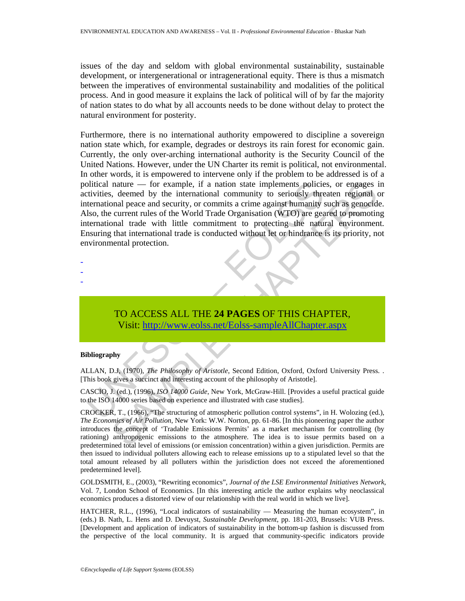issues of the day and seldom with global environmental sustainability, sustainable development, or intergenerational or intragenerational equity. There is thus a mismatch between the imperatives of environmental sustainability and modalities of the political process. And in good measure it explains the lack of political will of by far the majority of nation states to do what by all accounts needs to be done without delay to protect the natural environment for posterity.

olitical nature — for example, if a nation state implements policies<br>tivities, deemed by the international community to seriously three<br>termational peace and security, or commits a crime against humanity<br>also, the current nature — for example, if a nation state implements policies, or engages in the denoted by the international community to seriously threaten regional<br>road proced and security, or commits a crime against humanity such as ge Furthermore, there is no international authority empowered to discipline a sovereign nation state which, for example, degrades or destroys its rain forest for economic gain. Currently, the only over-arching international authority is the Security Council of the United Nations. However, under the UN Charter its remit is political, not environmental. In other words, it is empowered to intervene only if the problem to be addressed is of a political nature — for example, if a nation state implements policies, or engages in activities, deemed by the international community to seriously threaten regional or international peace and security, or commits a crime against humanity such as genocide. Also, the current rules of the World Trade Organisation (WTO) are geared to promoting international trade with little commitment to protecting the natural environment. Ensuring that international trade is conducted without let or hindrance is its priority, not environmental protection.

# TO ACCESS ALL THE **24 PAGES** OF THIS CHAPTER, Visit: http://www.eolss.net/Eolss-sampleAllChapter.aspx

#### **Bibliography**

- - -

ALLAN, D.J, (1970), *The Philosophy of Aristotle*, Second Edition, Oxford, Oxford University Press. . [This book gives a succinct and interesting account of the philosophy of Aristotle].

CASCIO, J. (ed.), (1996), *ISO 14000 Guide*, New York, McGraw-Hill. [Provides a useful practical guide to the ISO 14000 series based on experience and illustrated with case studies].

CROCKER, T., (1966), "The structuring of atmospheric pollution control systems", in H. Wolozing (ed.), *The Economics of Air Pollution*, New York: W.W. Norton, pp. 61-86. [In this pioneering paper the author introduces the concept of 'Tradable Emissions Permits' as a market mechanism for controlling (by rationing) anthropogenic emissions to the atmosphere. The idea is to issue permits based on a predetermined total level of emissions (or emission concentration) within a given jurisdiction. Permits are then issued to individual polluters allowing each to release emissions up to a stipulated level so that the total amount released by all polluters within the jurisdiction does not exceed the aforementioned predetermined level].

GOLDSMITH, E., (2003), "Rewriting economics", *Journal of the LSE Environmental Initiatives Network*, Vol. 7, London School of Economics. [In this interesting article the author explains why neoclassical economics produces a distorted view of our relationship with the real world in which we live].

HATCHER, R.L., (1996), "Local indicators of sustainability — Measuring the human ecosystem", in (eds.) B. Nath, L. Hens and D. Devuyst, *Sustainable Development*, pp. 181-203, Brussels: VUB Press. [Development and application of indicators of sustainability in the bottom-up fashion is discussed from the perspective of the local community. It is argued that community-specific indicators provide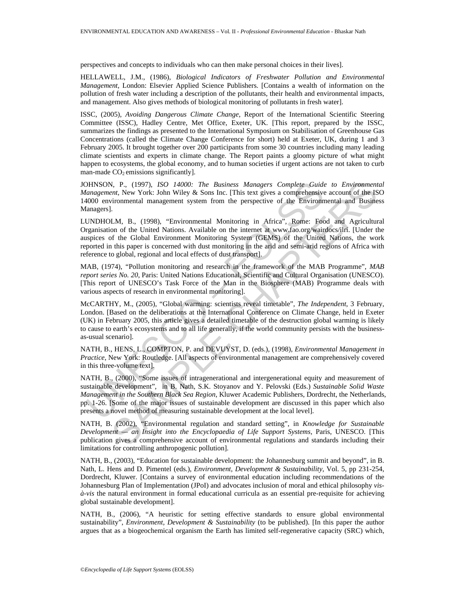perspectives and concepts to individuals who can then make personal choices in their lives].

HELLAWELL, J.M., (1986), *Biological Indicators of Freshwater Pollution and Environmental Management*, London: Elsevier Applied Science Publishers. [Contains a wealth of information on the pollution of fresh water including a description of the pollutants, their health and environmental impacts, and management. Also gives methods of biological monitoring of pollutants in fresh water].

ISSC, (2005), *Avoiding Dangerous Climate Change*, Report of the International Scientific Steering Committee (ISSC), Hadley Centre, Met Office, Exeter, UK. [This report, prepared by the ISSC, summarizes the findings as presented to the International Symposium on Stabilisation of Greenhouse Gas Concentrations (called the Climate Change Conference for short) held at Exeter, UK, during 1 and 3 February 2005. It brought together over 200 participants from some 30 countries including many leading climate scientists and experts in climate change. The Report paints a gloomy picture of what might happen to ecosystems, the global economy, and to human societies if urgent actions are not taken to curb man-made  $CO<sub>2</sub>$  emissions significantly].

JOHNSON, P., (1997), *ISO 14000: The Business Managers Complete Guide to Environmental Management*, New York: John Wiley & Sons Inc. [This text gives a comprehensive account of the ISO 14000 environmental management system from the perspective of the Environmental and Business Managers].

LUNDHOLM, B., (1998), "Environmental Monitoring in Africa", Rome: Food and Agricultural Organisation of the United Nations. Available on the internet at www.fao.org/wairdocs/ilri. [Under the auspices of the Global Environment Monitoring System (GEMS) of the United Nations, the work reported in this paper is concerned with dust monitoring in the arid and semi-arid regions of Africa with reference to global, regional and local effects of dust transport].

MAB, (1974), "Pollution monitoring and research in the framework of the MAB Programme", *MAB report series No. 20*, Paris: United Nations Educational, Scientific and Cultural Organisation (UNESCO). [This report of UNESCO's Task Force of the Man in the Biosphere (MAB) Programme deals with various aspects of research in environmental monitoring].

DHNSON, P., (1997), *ISO 14000: The Business Managers Complete Guidensylangers*, P., (1997), *ISO 14000: The Business Managers Complete Guiden00 environmental monagement,* New York: John Wiley & Sons Inc. [This text gives *k*, P., (1997). ISO 14000: The Business Managers Complete Guide to Environment<br>
mt. New York: John Wiley & Sons Inc. [This text gives a comprehensive account of the IS<br>
nite means and management system from the perspecti McCARTHY, M., (2005), "Global warming: scientists reveal timetable", *The Independent*, 3 February, London. [Based on the deliberations at the International Conference on Climate Change, held in Exeter (UK) in February 2005, this article gives a detailed timetable of the destruction global warming is likely to cause to earth's ecosystems and to all life generally, if the world community persists with the businessas-usual scenario].

NATH, B., HENS, L., COMPTON, P. and DEVUYST, D. (eds.), (1998), *Environmental Management in Practice*, New York: Routledge. [All aspects of environmental management are comprehensively covered in this three-volume text].

NATH, B., (2000), "Some issues of intragenerational and intergenerational equity and measurement of sustainable development", in B. Nath, S.K. Stoyanov and Y. Pelovski (Eds.) *Sustainable Solid Waste Management in the Southern Black Sea Region*, Kluwer Academic Publishers, Dordrecht, the Netherlands, pp. 1-26. [Some of the major issues of sustainable development are discussed in this paper which also presents a novel method of measuring sustainable development at the local level].

NATH, B. (2002), "Environmental regulation and standard setting", in *Knowledge for Sustainable Development — an Insight into the Encyclopaedia of Life Support Systems,* Paris, UNESCO. [This publication gives a comprehensive account of environmental regulations and standards including their limitations for controlling anthropogenic pollution].

NATH, B., (2003), "Education for sustainable development: the Johannesburg summit and beyond", in B. Nath, L. Hens and D. Pimentel (eds.), *Environment, Development & Sustainability*, Vol. 5, pp 231-254, Dordrecht, Kluwer. [Contains a survey of environmental education including recommendations of the Johannesburg Plan of Implementation (JPoI) and advocates inclusion of moral and ethical philosophy *visà-vis* the natural environment in formal educational curricula as an essential pre-requisite for achieving global sustainable development].

NATH, B., (2006), "A heuristic for setting effective standards to ensure global environmental sustainability", *Environment, Development & Sustainability* (to be published). [In this paper the author argues that as a biogeochemical organism the Earth has limited self-regenerative capacity (SRC) which,